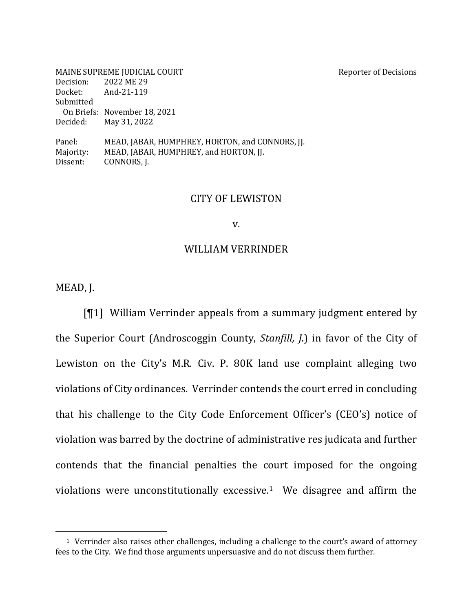| MAINE SUPREME JUDICIAL COURT |                                                 | <b>Reporter of Decisions</b> |
|------------------------------|-------------------------------------------------|------------------------------|
| Decision:                    | 2022 ME 29                                      |                              |
| Docket:                      | And-21-119                                      |                              |
| Submitted                    |                                                 |                              |
|                              | On Briefs: November 18, 2021                    |                              |
| Decided:                     | May 31, 2022                                    |                              |
| Panel:                       | MEAD, JABAR, HUMPHREY, HORTON, and CONNORS, JJ. |                              |
| Majority:                    | MEAD, JABAR, HUMPHREY, and HORTON, JJ.          |                              |
| Dissent:                     | CONNORS, J.                                     |                              |

#### CITY OF LEWISTON

#### v.

#### WILLIAM VERRINDER

MEAD, J.

 $\llbracket \P1 \rrbracket$  William Verrinder appeals from a summary judgment entered by the Superior Court (Androscoggin County, *Stanfill, J.*) in favor of the City of Lewiston on the City's M.R. Civ. P. 80K land use complaint alleging two violations of City ordinances. Verrinder contends the court erred in concluding that his challenge to the City Code Enforcement Officer's (CEO's) notice of violation was barred by the doctrine of administrative res judicata and further contends that the financial penalties the court imposed for the ongoing violations were unconstitutionally excessive.<sup>1</sup> We disagree and affirm the

<sup>&</sup>lt;sup>1</sup> Verrinder also raises other challenges, including a challenge to the court's award of attorney fees to the City. We find those arguments unpersuasive and do not discuss them further.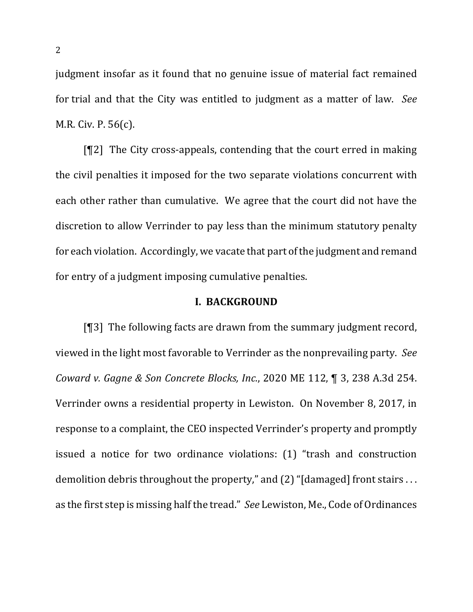judgment insofar as it found that no genuine issue of material fact remained for trial and that the City was entitled to judgment as a matter of law. See M.R. Civ. P. 56(c).

 $[92]$  The City cross-appeals, contending that the court erred in making the civil penalties it imposed for the two separate violations concurrent with each other rather than cumulative. We agree that the court did not have the discretion to allow Verrinder to pay less than the minimum statutory penalty for each violation. Accordingly, we vacate that part of the judgment and remand for entry of a judgment imposing cumulative penalties.

## **I. BACKGROUND**

[ $[$ ]] The following facts are drawn from the summary judgment record, viewed in the light most favorable to Verrinder as the nonprevailing party. See *Coward v. Gagne & Son Concrete Blocks, Inc.*, 2020 ME 112, ¶ 3, 238 A.3d 254. Verrinder owns a residential property in Lewiston. On November 8, 2017, in response to a complaint, the CEO inspected Verrinder's property and promptly issued a notice for two ordinance violations: (1) "trash and construction demolition debris throughout the property," and  $(2)$  "[damaged] front stairs ... as the first step is missing half the tread." *See* Lewiston, Me., Code of Ordinances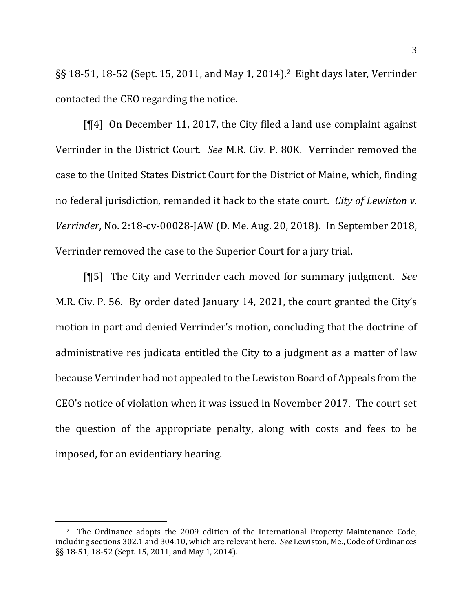§§ 18-51, 18-52 (Sept. 15, 2011, and May 1, 2014).<sup>2</sup> Eight days later, Verrinder contacted the CEO regarding the notice.

[ $[$ 4] On December 11, 2017, the City filed a land use complaint against Verrinder in the District Court. *See* M.R. Civ. P. 80K. Verrinder removed the case to the United States District Court for the District of Maine, which, finding no federal jurisdiction, remanded it back to the state court. *City of Lewiston v. Verrinder*, No. 2:18-cv-00028-JAW (D. Me. Aug. 20, 2018). In September 2018, Verrinder removed the case to the Superior Court for a jury trial.

[¶5] The City and Verrinder each moved for summary judgment. See M.R. Civ. P. 56. By order dated January 14, 2021, the court granted the City's motion in part and denied Verrinder's motion, concluding that the doctrine of administrative res judicata entitled the City to a judgment as a matter of law because Verrinder had not appealed to the Lewiston Board of Appeals from the CEO's notice of violation when it was issued in November 2017. The court set the question of the appropriate penalty, along with costs and fees to be imposed, for an evidentiary hearing.

<sup>&</sup>lt;sup>2</sup> The Ordinance adopts the 2009 edition of the International Property Maintenance Code, including sections 302.1 and 304.10, which are relevant here. *See* Lewiston, Me., Code of Ordinances §§ 18-51, 18-52 (Sept. 15, 2011, and May 1, 2014).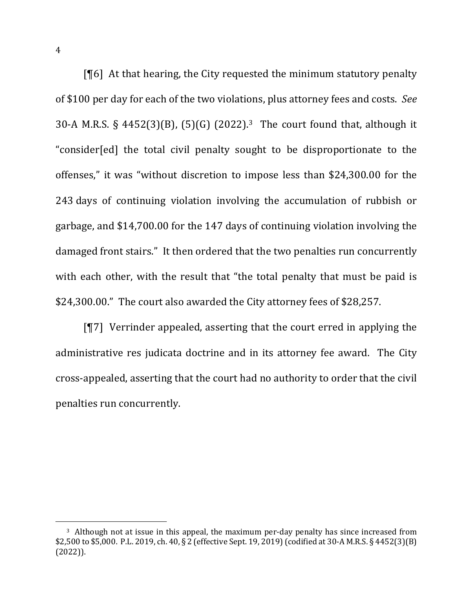[¶6] At that hearing, the City requested the minimum statutory penalty of \$100 per day for each of the two violations, plus attorney fees and costs. See 30-A M.R.S. § 4452(3)(B), (5)(G) (2022).<sup>3</sup> The court found that, although it "consider[ed] the total civil penalty sought to be disproportionate to the offenses," it was "without discretion to impose less than \$24,300.00 for the 243 days of continuing violation involving the accumulation of rubbish or garbage, and \$14,700.00 for the 147 days of continuing violation involving the damaged front stairs." It then ordered that the two penalties run concurrently with each other, with the result that "the total penalty that must be paid is \$24,300.00." The court also awarded the City attorney fees of \$28,257.

 $[97]$  Verrinder appealed, asserting that the court erred in applying the administrative res judicata doctrine and in its attorney fee award. The City cross-appealed, asserting that the court had no authority to order that the civil penalties run concurrently.

<sup>&</sup>lt;sup>3</sup> Although not at issue in this appeal, the maximum per-day penalty has since increased from \$2,500 to \$5,000. P.L. 2019, ch. 40, § 2 (effective Sept. 19, 2019) (codified at 30-A M.R.S. § 4452(3)(B) (2022)).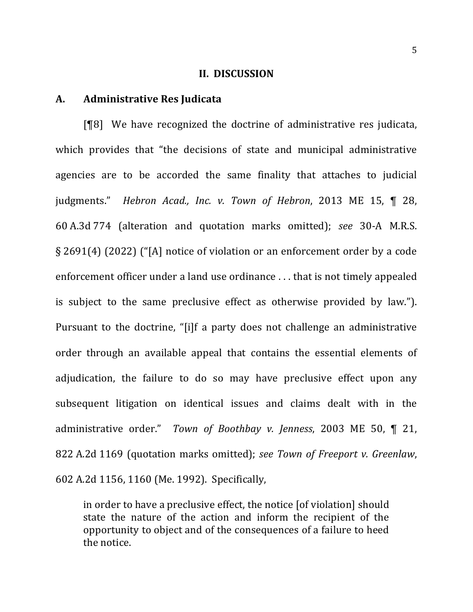#### **II. DISCUSSION**

## **A. Administrative Res Judicata**

[¶8] We have recognized the doctrine of administrative res judicata, which provides that "the decisions of state and municipal administrative agencies are to be accorded the same finality that attaches to judicial judgments." *Hebron Acad., Inc. v. Town of Hebron*, 2013 ME 15, ¶ 28, 60 A.3d 774 (alteration and quotation marks omitted); *see*  30-A M.R.S. § 2691(4) (2022) ("[A] notice of violation or an enforcement order by a code enforcement officer under a land use ordinance  $\ldots$  that is not timely appealed is subject to the same preclusive effect as otherwise provided by law."). Pursuant to the doctrine, "[i]f a party does not challenge an administrative order through an available appeal that contains the essential elements of adjudication, the failure to do so may have preclusive effect upon any subsequent litigation on identical issues and claims dealt with in the administrative order." Town of Boothbay v. Jenness, 2003 ME 50, ¶ 21, 822 A.2d 1169 (quotation marks omitted); see Town of Freeport v. Greenlaw, 602 A.2d 1156, 1160 (Me. 1992). Specifically,

in order to have a preclusive effect, the notice [of violation] should state the nature of the action and inform the recipient of the opportunity to object and of the consequences of a failure to heed the notice.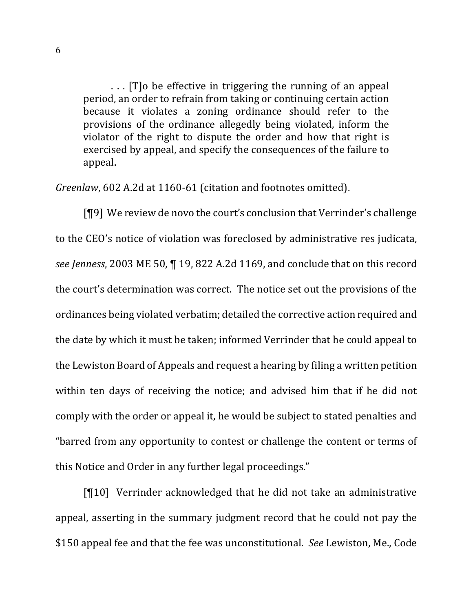... [T]o be effective in triggering the running of an appeal period, an order to refrain from taking or continuing certain action because it violates a zoning ordinance should refer to the provisions of the ordinance allegedly being violated, inform the violator of the right to dispute the order and how that right is exercised by appeal, and specify the consequences of the failure to appeal.

*Greenlaw*, 602 A.2d at 1160-61 (citation and footnotes omitted).

 $[$ [[9] We review de novo the court's conclusion that Verrinder's challenge to the CEO's notice of violation was foreclosed by administrative res judicata, see Jenness, 2003 ME 50, 1 19, 822 A.2d 1169, and conclude that on this record the court's determination was correct. The notice set out the provisions of the ordinances being violated verbatim; detailed the corrective action required and the date by which it must be taken; informed Verrinder that he could appeal to the Lewiston Board of Appeals and request a hearing by filing a written petition within ten days of receiving the notice; and advised him that if he did not comply with the order or appeal it, he would be subject to stated penalties and "barred from any opportunity to contest or challenge the content or terms of this Notice and Order in any further legal proceedings."

 $[\P 10]$  Verrinder acknowledged that he did not take an administrative appeal, asserting in the summary judgment record that he could not pay the \$150 appeal fee and that the fee was unconstitutional. See Lewiston, Me., Code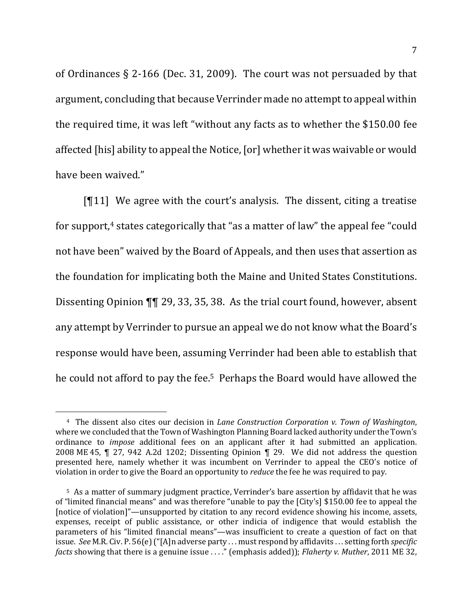of Ordinances  $\S$  2-166 (Dec. 31, 2009). The court was not persuaded by that argument, concluding that because Verrinder made no attempt to appeal within the required time, it was left "without any facts as to whether the \$150.00 fee affected [his] ability to appeal the Notice, [or] whether it was waivable or would have been waived."

 $[T11]$  We agree with the court's analysis. The dissent, citing a treatise for support, $4$  states categorically that "as a matter of law" the appeal fee "could not have been" waived by the Board of Appeals, and then uses that assertion as the foundation for implicating both the Maine and United States Constitutions. Dissenting Opinion  $\P\P$  29, 33, 35, 38. As the trial court found, however, absent any attempt by Verrinder to pursue an appeal we do not know what the Board's response would have been, assuming Verrinder had been able to establish that he could not afford to pay the fee.<sup>5</sup> Perhaps the Board would have allowed the

<sup>&</sup>lt;sup>4</sup> The dissent also cites our decision in *Lane Construction Corporation v. Town of Washington,* where we concluded that the Town of Washington Planning Board lacked authority under the Town's ordinance to *impose* additional fees on an applicant after it had submitted an application. 2008 ME 45,  $\P$  27, 942 A.2d 1202; Dissenting Opinion  $\P$  29. We did not address the question presented here, namely whether it was incumbent on Verrinder to appeal the CEO's notice of violation in order to give the Board an opportunity to *reduce* the fee he was required to pay.

<sup>&</sup>lt;sup>5</sup> As a matter of summary judgment practice, Verrinder's bare assertion by affidavit that he was of "limited financial means" and was therefore "unable to pay the [City's] \$150.00 fee to appeal the [notice of violation]"—unsupported by citation to any record evidence showing his income, assets, expenses, receipt of public assistance, or other indicia of indigence that would establish the parameters of his "limited financial means"—was insufficient to create a question of fact on that issue. See M.R. Civ. P. 56(e) ("[A]n adverse party ... must respond by affidavits ... setting forth *specific facts* showing that there is a genuine issue . . . ." (emphasis added)); *Flaherty v. Muther*, 2011 ME 32,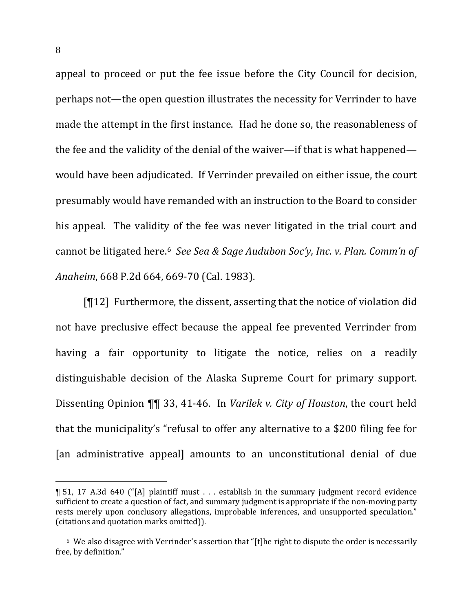appeal to proceed or put the fee issue before the City Council for decision, perhaps not—the open question illustrates the necessity for Verrinder to have made the attempt in the first instance. Had he done so, the reasonableness of the fee and the validity of the denial of the waiver—if that is what happened would have been adjudicated. If Verrinder prevailed on either issue, the court presumably would have remanded with an instruction to the Board to consider his appeal. The validity of the fee was never litigated in the trial court and cannot be litigated here.<sup>6</sup> See Sea & Sage Audubon Soc'y, Inc. v. Plan. Comm'n of *Anaheim*, 668 P.2d 664, 669-70 (Cal. 1983).

 $[T12]$  Furthermore, the dissent, asserting that the notice of violation did not have preclusive effect because the appeal fee prevented Verrinder from having a fair opportunity to litigate the notice, relies on a readily distinguishable decision of the Alaska Supreme Court for primary support. Dissenting Opinion  $\P\P$  33, 41-46. In *Varilek v. City of Houston*, the court held that the municipality's "refusal to offer any alternative to a \$200 filing fee for [an administrative appeal] amounts to an unconstitutional denial of due

<sup>¶</sup> 51, 17 A.3d 640 ("[A] plaintiff must . . . establish in the summary judgment record evidence sufficient to create a question of fact, and summary judgment is appropriate if the non-moving party rests merely upon conclusory allegations, improbable inferences, and unsupported speculation." (citations and quotation marks omitted)).

 $6$  We also disagree with Verrinder's assertion that "[t]he right to dispute the order is necessarily free, by definition."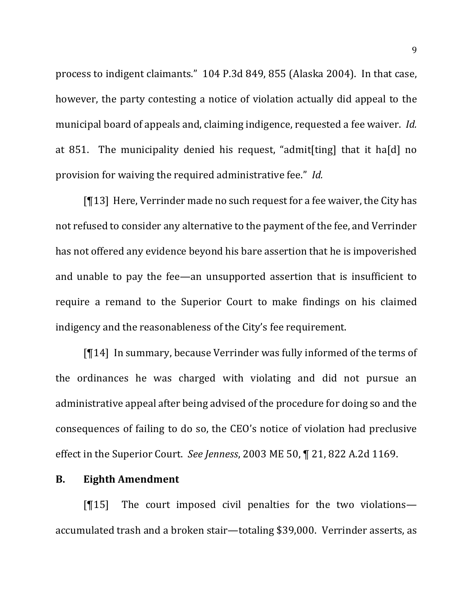process to indigent claimants." 104 P.3d 849, 855 (Alaska 2004). In that case, however, the party contesting a notice of violation actually did appeal to the municipal board of appeals and, claiming indigence, requested a fee waiver. *Id.* at 851. The municipality denied his request, "admit[ting] that it ha[d] no provision for waiving the required administrative fee." *Id.* 

 $[13]$  Here, Verrinder made no such request for a fee waiver, the City has not refused to consider any alternative to the payment of the fee, and Verrinder has not offered any evidence beyond his bare assertion that he is impoverished and unable to pay the fee—an unsupported assertion that is insufficient to require a remand to the Superior Court to make findings on his claimed indigency and the reasonableness of the City's fee requirement.

 $[T14]$  In summary, because Verrinder was fully informed of the terms of the ordinances he was charged with violating and did not pursue an administrative appeal after being advised of the procedure for doing so and the consequences of failing to do so, the CEO's notice of violation had preclusive effect in the Superior Court. See Jenness, 2003 ME 50, ¶ 21, 822 A.2d 1169.

#### **B.** Eighth Amendment

 $[15]$  The court imposed civil penalties for the two violations accumulated trash and a broken stair—totaling \$39,000. Verrinder asserts, as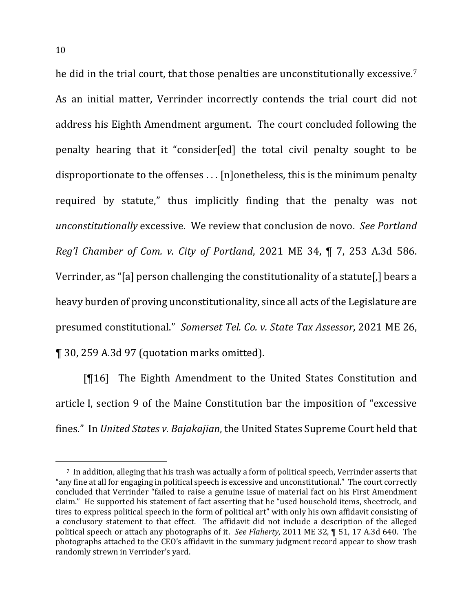he did in the trial court, that those penalties are unconstitutionally excessive.<sup>7</sup> As an initial matter, Verrinder incorrectly contends the trial court did not address his Eighth Amendment argument. The court concluded following the penalty hearing that it "consider[ed] the total civil penalty sought to be disproportionate to the offenses  $\dots$  [n]onetheless, this is the minimum penalty required by statute," thus implicitly finding that the penalty was not *unconstitutionally* excessive. We review that conclusion de novo. See Portland *Reg'l* Chamber of Com. v. City of Portland, 2021 ME 34, ¶ 7, 253 A.3d 586. Verrinder, as "[a] person challenging the constitutionality of a statute[,] bears a heavy burden of proving unconstitutionality, since all acts of the Legislature are presumed constitutional." Somerset Tel. Co. v. State Tax Assessor, 2021 ME 26, ¶ 30, 259 A.3d 97 (quotation marks omitted).

**[**[16] The Eighth Amendment to the United States Constitution and article I, section 9 of the Maine Constitution bar the imposition of "excessive fines." In *United States v. Bajakajian*, the United States Supreme Court held that

<sup>&</sup>lt;sup>7</sup> In addition, alleging that his trash was actually a form of political speech, Verrinder asserts that "any fine at all for engaging in political speech is excessive and unconstitutional." The court correctly concluded that Verrinder "failed to raise a genuine issue of material fact on his First Amendment claim." He supported his statement of fact asserting that he "used household items, sheetrock, and tires to express political speech in the form of political art" with only his own affidavit consisting of a conclusory statement to that effect. The affidavit did not include a description of the alleged political speech or attach any photographs of it. *See Flaherty*, 2011 ME 32, ¶ 51, 17 A.3d 640. The photographs attached to the CEO's affidavit in the summary judgment record appear to show trash randomly strewn in Verrinder's yard.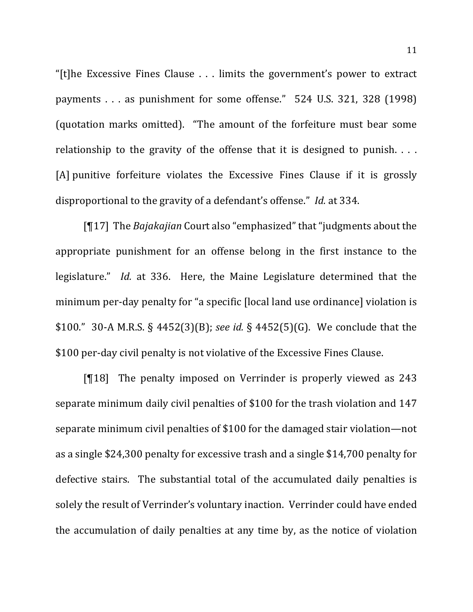"[t]he Excessive Fines Clause  $\ldots$  limits the government's power to extract payments  $\ldots$  as punishment for some offense."  $524$  U.S. 321, 328 (1998) (quotation marks omitted). "The amount of the forfeiture must bear some relationship to the gravity of the offense that it is designed to punish.  $\ldots$ [A] punitive forfeiture violates the Excessive Fines Clause if it is grossly disproportional to the gravity of a defendant's offense." *Id.* at 334.

[¶17] The *Bajakajian* Court also "emphasized" that "judgments about the appropriate punishment for an offense belong in the first instance to the legislature." *Id.* at 336. Here, the Maine Legislature determined that the minimum per-day penalty for "a specific [local land use ordinance] violation is \$100."  $30-A$  M.R.S. §  $4452(3)(B)$ ; *see id.* §  $4452(5)(G)$ . We conclude that the \$100 per-day civil penalty is not violative of the Excessive Fines Clause.

 $\lceil \mathcal{F} \rceil 18$  The penalty imposed on Verrinder is properly viewed as 243 separate minimum daily civil penalties of \$100 for the trash violation and 147 separate minimum civil penalties of \$100 for the damaged stair violation—not as a single \$24,300 penalty for excessive trash and a single \$14,700 penalty for defective stairs. The substantial total of the accumulated daily penalties is solely the result of Verrinder's voluntary inaction. Verrinder could have ended the accumulation of daily penalties at any time by, as the notice of violation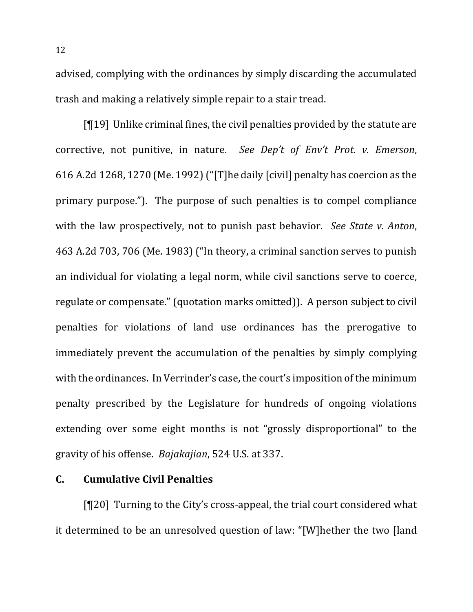advised, complying with the ordinances by simply discarding the accumulated trash and making a relatively simple repair to a stair tread.

 $[19]$  Unlike criminal fines, the civil penalties provided by the statute are corrective, not punitive, in nature. See Dep't of Env't Prot. v. Emerson, 616 A.2d 1268, 1270 (Me. 1992) ("[T]he daily [civil] penalty has coercion as the primary purpose."). The purpose of such penalties is to compel compliance with the law prospectively, not to punish past behavior. See State v. Anton, 463 A.2d 703, 706 (Me. 1983) ("In theory, a criminal sanction serves to punish an individual for violating a legal norm, while civil sanctions serve to coerce, regulate or compensate." (quotation marks omitted)). A person subject to civil penalties for violations of land use ordinances has the prerogative to immediately prevent the accumulation of the penalties by simply complying with the ordinances. In Verrinder's case, the court's imposition of the minimum penalty prescribed by the Legislature for hundreds of ongoing violations extending over some eight months is not "grossly disproportional" to the gravity of his offense. *Bajakajian*, 524 U.S. at 337.

#### **C. Cumulative Civil Penalties**

 $[T20]$  Turning to the City's cross-appeal, the trial court considered what it determined to be an unresolved question of law: "[W]hether the two [land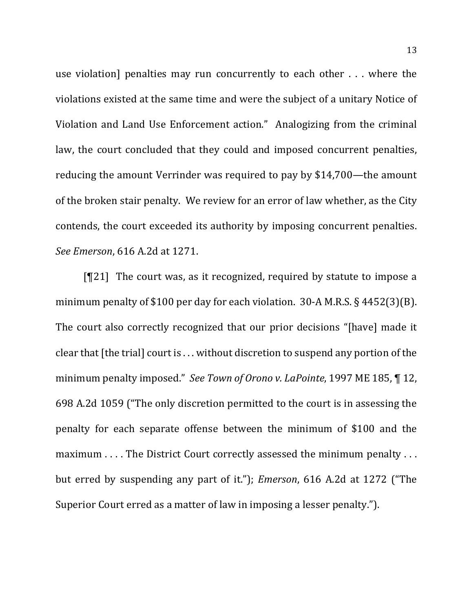use violation] penalties may run concurrently to each other  $\dots$  where the violations existed at the same time and were the subject of a unitary Notice of Violation and Land Use Enforcement action." Analogizing from the criminal law, the court concluded that they could and imposed concurrent penalties, reducing the amount Verrinder was required to pay by \$14,700—the amount of the broken stair penalty. We review for an error of law whether, as the City contends, the court exceeded its authority by imposing concurrent penalties. *See Emerson*, 616 A.2d at 1271.

 $[T21]$  The court was, as it recognized, required by statute to impose a minimum penalty of \$100 per day for each violation.  $30-A$  M.R.S. § 4452(3)(B). The court also correctly recognized that our prior decisions "[have] made it clear that  $[$ the trial $]$  court is  $\ldots$  without discretion to suspend any portion of the minimum penalty imposed." *See Town of Orono v. LaPointe*, 1997 ME 185, ¶ 12, 698 A.2d 1059 ("The only discretion permitted to the court is in assessing the penalty for each separate offense between the minimum of \$100 and the maximum . . . . The District Court correctly assessed the minimum penalty . . . but erred by suspending any part of it."); *Emerson*, 616 A.2d at 1272 ("The Superior Court erred as a matter of law in imposing a lesser penalty.").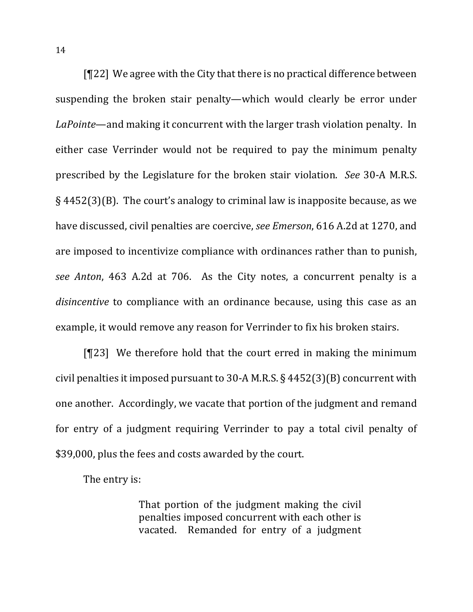$[T22]$  We agree with the City that there is no practical difference between suspending the broken stair penalty—which would clearly be error under *LaPointe*—and making it concurrent with the larger trash violation penalty. In either case Verrinder would not be required to pay the minimum penalty prescribed by the Legislature for the broken stair violation. *See* 30-A M.R.S.  $\S$  4452(3)(B). The court's analogy to criminal law is inapposite because, as we have discussed, civil penalties are coercive, *see Emerson*, 616 A.2d at 1270, and are imposed to incentivize compliance with ordinances rather than to punish, *see Anton*, 463 A.2d at 706. As the City notes, a concurrent penalty is a *disincentive* to compliance with an ordinance because, using this case as an example, it would remove any reason for Verrinder to fix his broken stairs.

[ $[123]$ ] We therefore hold that the court erred in making the minimum civil penalties it imposed pursuant to 30-A M.R.S.  $\S$  4452(3)(B) concurrent with one another. Accordingly, we vacate that portion of the judgment and remand for entry of a judgment requiring Verrinder to pay a total civil penalty of \$39,000, plus the fees and costs awarded by the court.

The entry is:

That portion of the judgment making the civil penalties imposed concurrent with each other is vacated. Remanded for entry of a judgment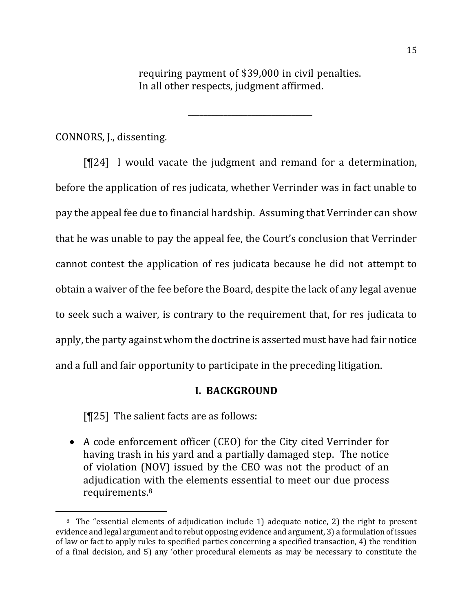requiring payment of \$39,000 in civil penalties. In all other respects, judgment affirmed.

\_\_\_\_\_\_\_\_\_\_\_\_\_\_\_\_\_\_\_\_\_\_\_\_\_\_\_\_\_\_\_

CONNORS, J., dissenting.

 $[T24]$  I would vacate the judgment and remand for a determination, before the application of res judicata, whether Verrinder was in fact unable to pay the appeal fee due to financial hardship. Assuming that Verrinder can show that he was unable to pay the appeal fee, the Court's conclusion that Verrinder cannot contest the application of res judicata because he did not attempt to obtain a waiver of the fee before the Board, despite the lack of any legal avenue to seek such a waiver, is contrary to the requirement that, for res judicata to apply, the party against whom the doctrine is asserted must have had fair notice and a full and fair opportunity to participate in the preceding litigation.

## **I. BACKGROUND**

 $[T25]$  The salient facts are as follows:

• A code enforcement officer (CEO) for the City cited Verrinder for having trash in his yard and a partially damaged step. The notice of violation (NOV) issued by the CEO was not the product of an adjudication with the elements essential to meet our due process requirements.8

 $8$  The "essential elements of adjudication include 1) adequate notice, 2) the right to present evidence and legal argument and to rebut opposing evidence and argument, 3) a formulation of issues of law or fact to apply rules to specified parties concerning a specified transaction, 4) the rendition of a final decision, and 5) any 'other procedural elements as may be necessary to constitute the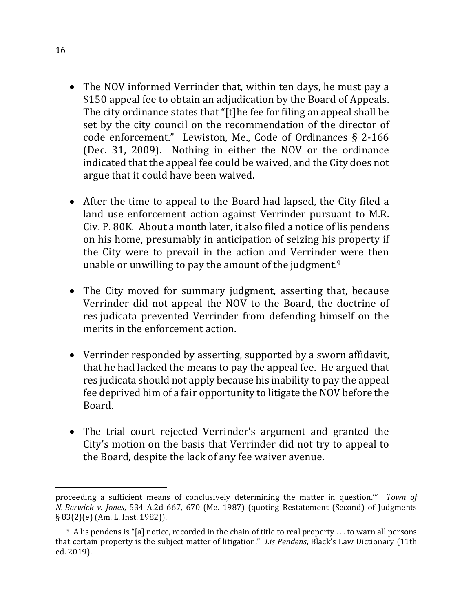- The NOV informed Verrinder that, within ten days, he must pay a \$150 appeal fee to obtain an adjudication by the Board of Appeals. The city ordinance states that "[t]he fee for filing an appeal shall be set by the city council on the recommendation of the director of code enforcement." Lewiston, Me., Code of Ordinances  $\S$  2-166 (Dec. 31, 2009). Nothing in either the NOV or the ordinance indicated that the appeal fee could be waived, and the City does not argue that it could have been waived.
- After the time to appeal to the Board had lapsed, the City filed a land use enforcement action against Verrinder pursuant to M.R. Civ. P. 80K. About a month later, it also filed a notice of lis pendens on his home, presumably in anticipation of seizing his property if the City were to prevail in the action and Verrinder were then unable or unwilling to pay the amount of the judgment.<sup>9</sup>
- The City moved for summary judgment, asserting that, because Verrinder did not appeal the NOV to the Board, the doctrine of res judicata prevented Verrinder from defending himself on the merits in the enforcement action.
- Verrinder responded by asserting, supported by a sworn affidavit, that he had lacked the means to pay the appeal fee. He argued that res judicata should not apply because his inability to pay the appeal fee deprived him of a fair opportunity to litigate the NOV before the Board.
- The trial court rejected Verrinder's argument and granted the City's motion on the basis that Verrinder did not try to appeal to the Board, despite the lack of any fee waiver avenue.

proceeding a sufficient means of conclusively determining the matter in question."" Town of *N. Berwick v. Jones*, 534 A.2d 667, 670 (Me. 1987) (quoting Restatement (Second) of Judgments  $\S 83(2)$ (e) (Am. L. Inst. 1982)).

 $9$  A lis pendens is "[a] notice, recorded in the chain of title to real property . . . to warn all persons that certain property is the subject matter of litigation." Lis Pendens, Black's Law Dictionary (11th ed. 2019).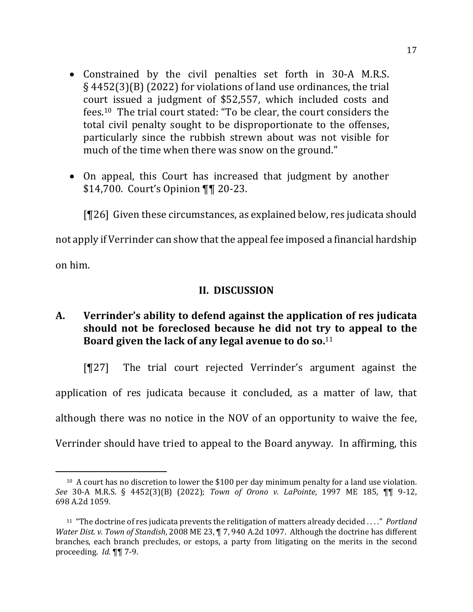- Constrained by the civil penalties set forth in 30-A M.R.S.  $\S$  4452(3)(B) (2022) for violations of land use ordinances, the trial court issued a judgment of \$52,557, which included costs and fees.<sup>10</sup> The trial court stated: "To be clear, the court considers the total civil penalty sought to be disproportionate to the offenses, particularly since the rubbish strewn about was not visible for much of the time when there was snow on the ground."
- On appeal, this Court has increased that judgment by another \$14,700. Court's Opinion ¶¶ 20-23.

 $[T26]$  Given these circumstances, as explained below, res judicata should

not apply if Verrinder can show that the appeal fee imposed a financial hardship

on him.

# **II. DISCUSSION**

A. Verrinder's ability to defend against the application of res judicata should not be foreclosed because he did not try to appeal to the Board given the lack of any legal avenue to do so.<sup>11</sup>

[¶27] The trial court rejected Verrinder's argument against the application of res judicata because it concluded, as a matter of law, that although there was no notice in the NOV of an opportunity to waive the fee, Verrinder should have tried to appeal to the Board anyway. In affirming, this

<sup>&</sup>lt;sup>10</sup> A court has no discretion to lower the \$100 per day minimum penalty for a land use violation. *See* 30-A M.R.S. § 4452(3)(B) (2022); *Town of Orono v. LaPointe*, 1997 ME 185, ¶¶ 9-12, 698 A.2d 1059.

<sup>&</sup>lt;sup>11</sup> "The doctrine of res judicata prevents the relitigation of matters already decided ...." *Portland Water Dist. v. Town of Standish*, 2008 ME 23, ¶ 7, 940 A.2d 1097. Although the doctrine has different branches, each branch precludes, or estops, a party from litigating on the merits in the second proceeding. *Id.* **¶** 7-9.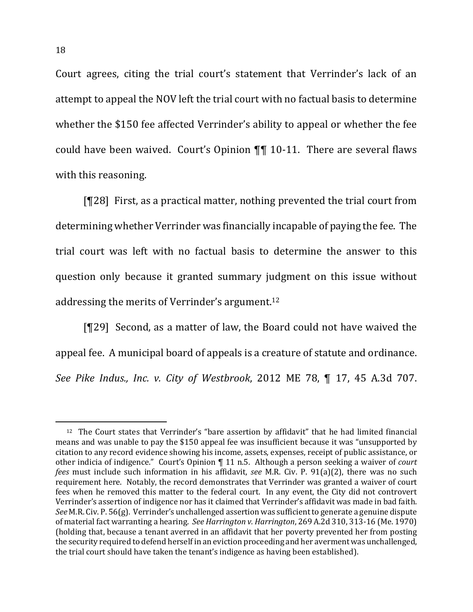Court agrees, citing the trial court's statement that Verrinder's lack of an attempt to appeal the NOV left the trial court with no factual basis to determine whether the \$150 fee affected Verrinder's ability to appeal or whether the fee could have been waived. Court's Opinion  $\P\P$  10-11. There are several flaws with this reasoning.

 $[T28]$  First, as a practical matter, nothing prevented the trial court from determining whether Verrinder was financially incapable of paying the fee. The trial court was left with no factual basis to determine the answer to this question only because it granted summary judgment on this issue without addressing the merits of Verrinder's argument.<sup>12</sup>

[¶29] Second, as a matter of law, the Board could not have waived the appeal fee. A municipal board of appeals is a creature of statute and ordinance. *See Pike Indus., Inc. v. City of Westbrook*, 2012 ME 78, ¶ 17, 45 A.3d 707. 

<sup>&</sup>lt;sup>12</sup> The Court states that Verrinder's "bare assertion by affidavit" that he had limited financial means and was unable to pay the \$150 appeal fee was insufficient because it was "unsupported by citation to any record evidence showing his income, assets, expenses, receipt of public assistance, or other indicia of indigence." Court's Opinion  $\P$  11 n.5. Although a person seeking a waiver of *court fees* must include such information in his affidavit, see M.R. Civ. P. 91(a)(2), there was no such requirement here. Notably, the record demonstrates that Verrinder was granted a waiver of court fees when he removed this matter to the federal court. In any event, the City did not controvert Verrinder's assertion of indigence nor has it claimed that Verrinder's affidavit was made in bad faith. *See* M.R. Civ. P. 56(g). Verrinder's unchallenged assertion was sufficient to generate a genuine dispute of material fact warranting a hearing. See *Harrington v. Harrington*, 269 A.2d 310, 313-16 (Me. 1970) (holding that, because a tenant averred in an affidavit that her poverty prevented her from posting the security required to defend herself in an eviction proceeding and her averment was unchallenged, the trial court should have taken the tenant's indigence as having been established).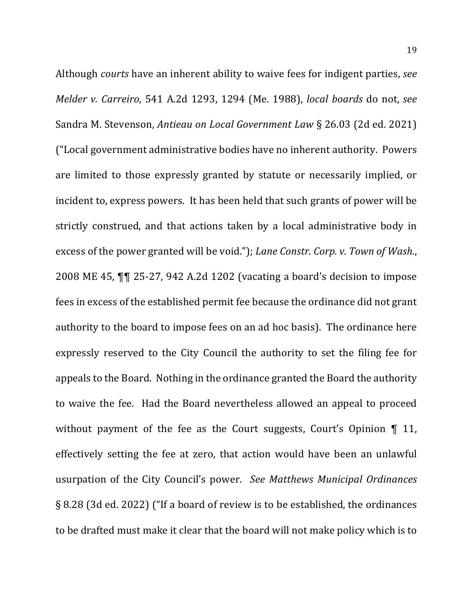Although *courts* have an inherent ability to waive fees for indigent parties, see *Melder v. Carreiro,* 541 A.2d 1293, 1294 (Me. 1988), *local boards* do not, *see* Sandra M. Stevenson, *Antieau on Local Government Law* § 26.03 (2d ed. 2021) ("Local government administrative bodies have no inherent authority. Powers are limited to those expressly granted by statute or necessarily implied, or incident to, express powers. It has been held that such grants of power will be strictly construed, and that actions taken by a local administrative body in excess of the power granted will be void."); *Lane Constr. Corp. v. Town of Wash.*, 2008 ME 45,  $\P\P$  25-27, 942 A.2d 1202 (vacating a board's decision to impose fees in excess of the established permit fee because the ordinance did not grant authority to the board to impose fees on an ad hoc basis). The ordinance here expressly reserved to the City Council the authority to set the filing fee for appeals to the Board. Nothing in the ordinance granted the Board the authority to waive the fee. Had the Board nevertheless allowed an appeal to proceed without payment of the fee as the Court suggests, Court's Opinion  $\P$  11, effectively setting the fee at zero, that action would have been an unlawful usurpation of the City Council's power. See Matthews Municipal Ordinances § 8.28 (3d ed. 2022) ("If a board of review is to be established, the ordinances to be drafted must make it clear that the board will not make policy which is to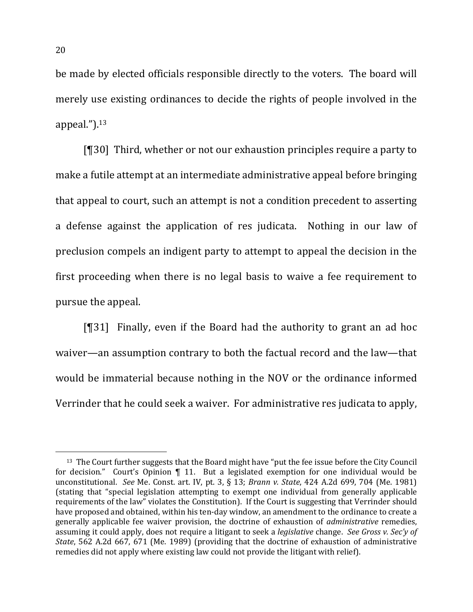be made by elected officials responsible directly to the voters. The board will merely use existing ordinances to decide the rights of people involved in the appeal.").13

 $[$ [[30] Third, whether or not our exhaustion principles require a party to make a futile attempt at an intermediate administrative appeal before bringing that appeal to court, such an attempt is not a condition precedent to asserting a defense against the application of res judicata. Nothing in our law of preclusion compels an indigent party to attempt to appeal the decision in the first proceeding when there is no legal basis to waive a fee requirement to pursue the appeal.

 $[931]$  Finally, even if the Board had the authority to grant an ad hoc waiver—an assumption contrary to both the factual record and the law—that would be immaterial because nothing in the NOV or the ordinance informed Verrinder that he could seek a waiver. For administrative res judicata to apply,

<sup>&</sup>lt;sup>13</sup> The Court further suggests that the Board might have "put the fee issue before the City Council for decision." Court's Opinion  $\P$  11. But a legislated exemption for one individual would be unconstitutional. *See* Me. Const. art. IV, pt. 3, § 13; *Brann v. State*, 424 A.2d 699, 704 (Me. 1981) (stating that "special legislation attempting to exempt one individual from generally applicable requirements of the law" violates the Constitution). If the Court is suggesting that Verrinder should have proposed and obtained, within his ten-day window, an amendment to the ordinance to create a generally applicable fee waiver provision, the doctrine of exhaustion of *administrative* remedies, assuming it could apply, does not require a litigant to seek a *legislative* change. See Gross v. Sec'y of *State*, 562 A.2d 667, 671 (Me. 1989) (providing that the doctrine of exhaustion of administrative remedies did not apply where existing law could not provide the litigant with relief).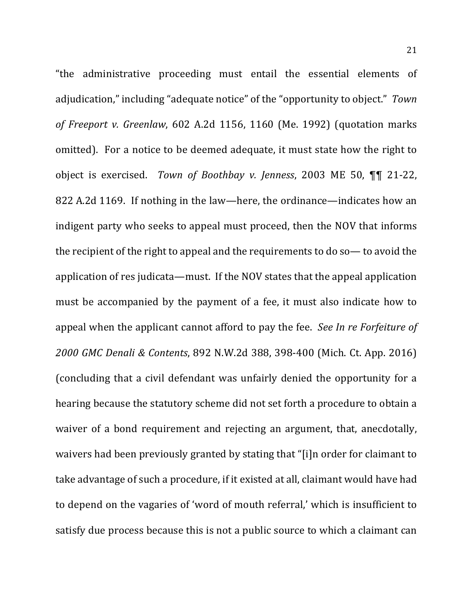"the administrative proceeding must entail the essential elements of adjudication," including "adequate notice" of the "opportunity to object." *Town of Freeport v. Greenlaw*, 602 A.2d 1156, 1160 (Me. 1992) (quotation marks omitted). For a notice to be deemed adequate, it must state how the right to object is exercised. *Town of Boothbay v. Jenness*, 2003 ME 50,  $\P\P$  21-22, 822 A.2d 1169. If nothing in the law—here, the ordinance—indicates how an indigent party who seeks to appeal must proceed, then the NOV that informs the recipient of the right to appeal and the requirements to do so  $-$  to avoid the application of res judicata—must. If the NOV states that the appeal application must be accompanied by the payment of a fee, it must also indicate how to appeal when the applicant cannot afford to pay the fee. See In re Forfeiture of *2000 GMC Denali & Contents*, 892 N.W.2d 388, 398-400 (Mich. Ct. App. 2016) (concluding that a civil defendant was unfairly denied the opportunity for a hearing because the statutory scheme did not set forth a procedure to obtain a waiver of a bond requirement and rejecting an argument, that, anecdotally, waivers had been previously granted by stating that "[i]n order for claimant to take advantage of such a procedure, if it existed at all, claimant would have had to depend on the vagaries of 'word of mouth referral,' which is insufficient to satisfy due process because this is not a public source to which a claimant can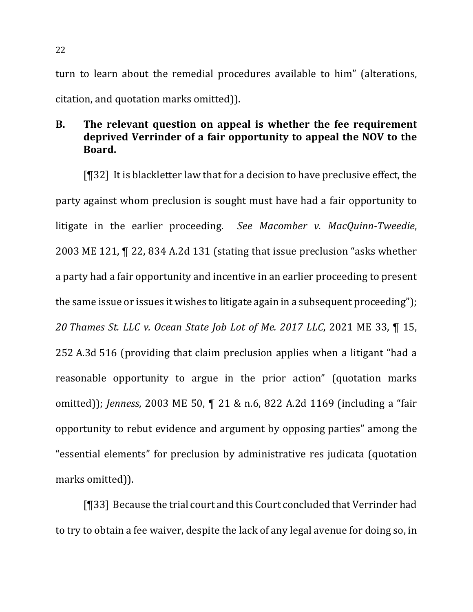turn to learn about the remedial procedures available to him" (alterations, citation, and quotation marks omitted)).

# **B.** The relevant question on appeal is whether the fee requirement deprived Verrinder of a fair opportunity to appeal the NOV to the **Board.**

 $[$ [[32] It is blackletter law that for a decision to have preclusive effect, the party against whom preclusion is sought must have had a fair opportunity to litigate in the earlier proceeding. See Macomber *v. MacQuinn-Tweedie*, 2003 ME 121, ¶ 22, 834 A.2d 131 (stating that issue preclusion "asks whether a party had a fair opportunity and incentive in an earlier proceeding to present the same issue or issues it wishes to litigate again in a subsequent proceeding"); *20 Thames St. LLC v. Ocean State Job Lot of Me. 2017 LLC*, 2021 ME 33, ¶ 15, 252 A.3d 516 (providing that claim preclusion applies when a litigant "had a reasonable opportunity to argue in the prior action" (quotation marks omitted)); *Jenness*, 2003 ME 50, ¶ 21 & n.6, 822 A.2d 1169 (including a "fair opportunity to rebut evidence and argument by opposing parties" among the "essential elements" for preclusion by administrative res judicata (quotation marks omitted)).

 $[\P{33}]$  Because the trial court and this Court concluded that Verrinder had to try to obtain a fee waiver, despite the lack of any legal avenue for doing so, in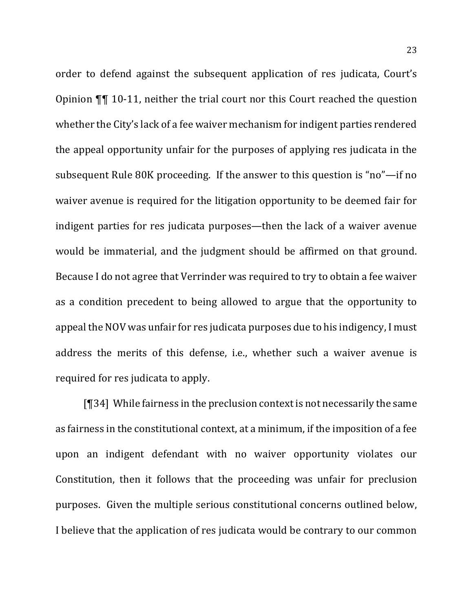order to defend against the subsequent application of res judicata, Court's Opinion  $\P\P$  10-11, neither the trial court nor this Court reached the question whether the City's lack of a fee waiver mechanism for indigent parties rendered the appeal opportunity unfair for the purposes of applying res judicata in the subsequent Rule 80K proceeding. If the answer to this question is "no"—if no waiver avenue is required for the litigation opportunity to be deemed fair for indigent parties for res judicata purposes—then the lack of a waiver avenue would be immaterial, and the judgment should be affirmed on that ground. Because I do not agree that Verrinder was required to try to obtain a fee waiver as a condition precedent to being allowed to argue that the opportunity to appeal the NOV was unfair for res judicata purposes due to his indigency, I must address the merits of this defense, i.e., whether such a waiver avenue is required for res judicata to apply.

 $[\,\P34]$  While fairness in the preclusion context is not necessarily the same as fairness in the constitutional context, at a minimum, if the imposition of a fee upon an indigent defendant with no waiver opportunity violates our Constitution, then it follows that the proceeding was unfair for preclusion purposes. Given the multiple serious constitutional concerns outlined below, I believe that the application of res judicata would be contrary to our common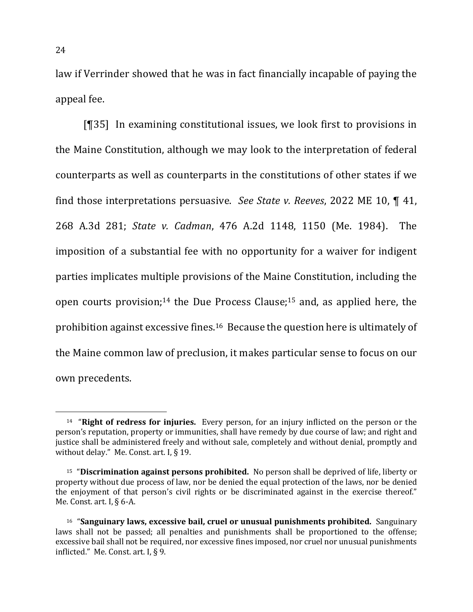law if Verrinder showed that he was in fact financially incapable of paying the appeal fee.

[¶35] In examining constitutional issues, we look first to provisions in the Maine Constitution, although we may look to the interpretation of federal counterparts as well as counterparts in the constitutions of other states if we find those interpretations persuasive. *See State v. Reeves*, 2022 ME 10, ¶ 41, 268 A.3d 281; *State v. Cadman*, 476 A.2d 1148, 1150 (Me. 1984). The imposition of a substantial fee with no opportunity for a waiver for indigent parties implicates multiple provisions of the Maine Constitution, including the open courts provision;<sup>14</sup> the Due Process Clause;<sup>15</sup> and, as applied here, the prohibition against excessive fines.<sup>16</sup> Because the question here is ultimately of the Maine common law of preclusion, it makes particular sense to focus on our own precedents.

<sup>&</sup>lt;sup>14</sup> **"Right of redress for injuries.** Every person, for an injury inflicted on the person or the person's reputation, property or immunities, shall have remedy by due course of law; and right and justice shall be administered freely and without sale, completely and without denial, promptly and without delay." Me. Const. art. I,  $\S$  19.

<sup>&</sup>lt;sup>15</sup> "Discrimination against persons prohibited. No person shall be deprived of life, liberty or property without due process of law, nor be denied the equal protection of the laws, nor be denied the enjoyment of that person's civil rights or be discriminated against in the exercise thereof." Me. Const. art. I,  $\S$  6-A.

<sup>16</sup> "**Sanguinary laws, excessive bail, cruel or unusual punishments prohibited.** Sanguinary laws shall not be passed; all penalties and punishments shall be proportioned to the offense; excessive bail shall not be required, nor excessive fines imposed, nor cruel nor unusual punishments inflicted." Me. Const. art. I,  $\S$  9.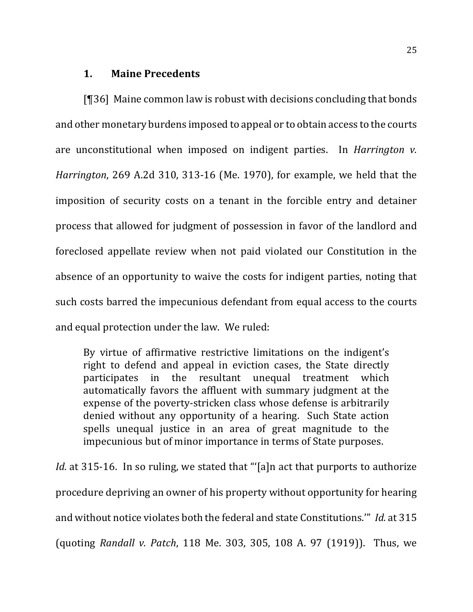# **1. Maine Precedents**

 $[$ [[36] Maine common law is robust with decisions concluding that bonds and other monetary burdens imposed to appeal or to obtain access to the courts are unconstitutional when imposed on indigent parties. In *Harrington v. Harrington*, 269 A.2d 310, 313-16 (Me. 1970), for example, we held that the imposition of security costs on a tenant in the forcible entry and detainer process that allowed for judgment of possession in favor of the landlord and foreclosed appellate review when not paid violated our Constitution in the absence of an opportunity to waive the costs for indigent parties, noting that such costs barred the impecunious defendant from equal access to the courts and equal protection under the law. We ruled:

By virtue of affirmative restrictive limitations on the indigent's right to defend and appeal in eviction cases, the State directly participates in the resultant unequal treatment which automatically favors the affluent with summary judgment at the expense of the poverty-stricken class whose defense is arbitrarily denied without any opportunity of a hearing. Such State action spells unequal justice in an area of great magnitude to the impecunious but of minor importance in terms of State purposes.

*Id.* at 315-16. In so ruling, we stated that "'[a]n act that purports to authorize procedure depriving an owner of his property without opportunity for hearing and without notice violates both the federal and state Constitutions."" *Id.* at 315 (quoting *Randall v. Patch*, 118 Me. 303, 305, 108 A. 97 (1919)). Thus, we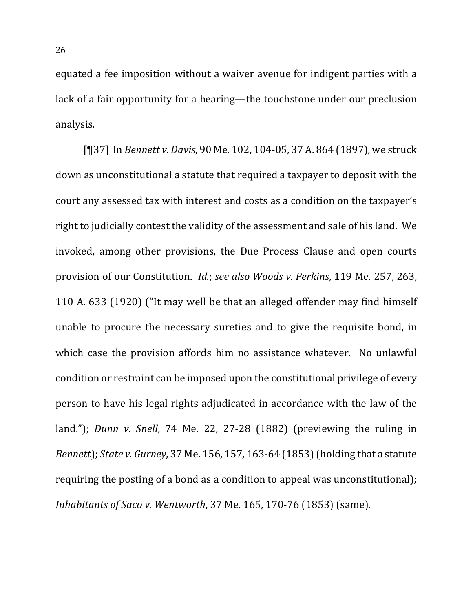equated a fee imposition without a waiver avenue for indigent parties with a lack of a fair opportunity for a hearing—the touchstone under our preclusion analysis.

[¶37] In *Bennett v. Davis*, 90 Me. 102, 104-05, 37 A. 864 (1897), we struck down as unconstitutional a statute that required a taxpayer to deposit with the court any assessed tax with interest and costs as a condition on the taxpayer's right to judicially contest the validity of the assessment and sale of his land. We invoked, among other provisions, the Due Process Clause and open courts provision of our Constitution. *Id.*; see also *Woods v. Perkins*, 119 Me. 257, 263, 110 A. 633 (1920) ("It may well be that an alleged offender may find himself unable to procure the necessary sureties and to give the requisite bond, in which case the provision affords him no assistance whatever. No unlawful condition or restraint can be imposed upon the constitutional privilege of every person to have his legal rights adjudicated in accordance with the law of the land."); *Dunn v. Snell*, 74 Me. 22, 27-28 (1882) (previewing the ruling in *Bennett*); *State v. Gurney*, 37 Me. 156, 157, 163-64 (1853) (holding that a statute requiring the posting of a bond as a condition to appeal was unconstitutional); *Inhabitants of Saco v. Wentworth*, 37 Me. 165, 170-76 (1853) (same).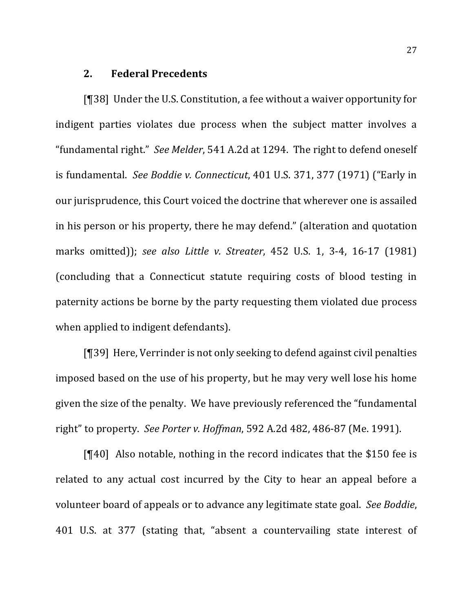## **2. Federal Precedents**

 $[$  [ $]$ 38] Under the U.S. Constitution, a fee without a waiver opportunity for indigent parties violates due process when the subject matter involves a "fundamental right." See Melder, 541 A.2d at 1294. The right to defend oneself is fundamental. See Boddie v. Connecticut, 401 U.S. 371, 377 (1971) ("Early in our jurisprudence, this Court voiced the doctrine that wherever one is assailed in his person or his property, there he may defend." (alteration and quotation marks omitted)); *see also Little v. Streater*, 452 U.S. 1, 3-4, 16-17 (1981) (concluding that a Connecticut statute requiring costs of blood testing in paternity actions be borne by the party requesting them violated due process when applied to indigent defendants).

 $[$ [39] Here, Verrinder is not only seeking to defend against civil penalties imposed based on the use of his property, but he may very well lose his home given the size of the penalty. We have previously referenced the "fundamental right" to property. See Porter v. Hoffman, 592 A.2d 482, 486-87 (Me. 1991).

 $[$ [[40] Also notable, nothing in the record indicates that the \$150 fee is related to any actual cost incurred by the City to hear an appeal before a volunteer board of appeals or to advance any legitimate state goal. See Boddie, 401 U.S. at 377 (stating that, "absent a countervailing state interest of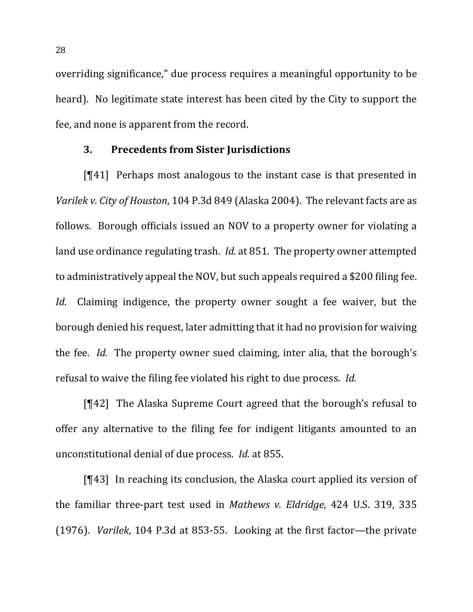overriding significance," due process requires a meaningful opportunity to be heard). No legitimate state interest has been cited by the City to support the fee, and none is apparent from the record.

#### **3. Precedents from Sister Jurisdictions**

 $[141]$  Perhaps most analogous to the instant case is that presented in *Varilek v. City of Houston,* 104 P.3d 849 (Alaska 2004). The relevant facts are as follows. Borough officials issued an NOV to a property owner for violating a land use ordinance regulating trash. *Id.* at 851. The property owner attempted to administratively appeal the NOV, but such appeals required a \$200 filing fee. *Id.* Claiming indigence, the property owner sought a fee waiver, but the borough denied his request, later admitting that it had no provision for waiving the fee. *Id.* The property owner sued claiming, inter alia, that the borough's refusal to waive the filing fee violated his right to due process. *Id.* 

 $[\P42]$  The Alaska Supreme Court agreed that the borough's refusal to offer any alternative to the filing fee for indigent litigants amounted to an unconstitutional denial of due process. *Id.* at 855.

 $[$ [43] In reaching its conclusion, the Alaska court applied its version of the familiar three-part test used in *Mathews v. Eldridge*, 424 U.S. 319, 335 (1976). *Varilek*, 104 P.3d at 853-55. Looking at the first factor—the private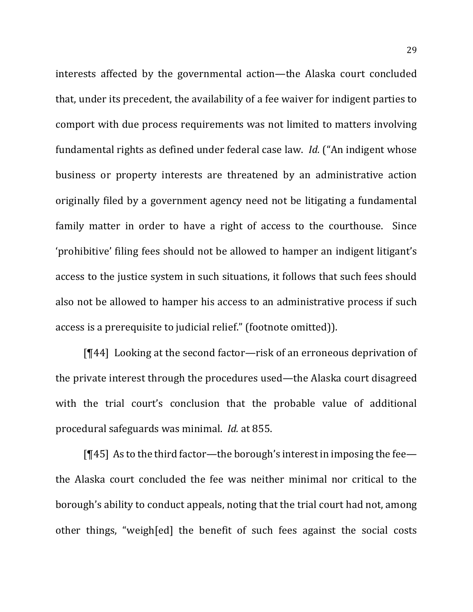interests affected by the governmental action—the Alaska court concluded that, under its precedent, the availability of a fee waiver for indigent parties to comport with due process requirements was not limited to matters involving fundamental rights as defined under federal case law. *Id.* ("An indigent whose business or property interests are threatened by an administrative action originally filed by a government agency need not be litigating a fundamental family matter in order to have a right of access to the courthouse. Since 'prohibitive' filing fees should not be allowed to hamper an indigent litigant's access to the justice system in such situations, it follows that such fees should also not be allowed to hamper his access to an administrative process if such access is a prerequisite to judicial relief." (footnote omitted)).

 $[T44]$  Looking at the second factor—risk of an erroneous deprivation of the private interest through the procedures used—the Alaska court disagreed with the trial court's conclusion that the probable value of additional procedural safeguards was minimal. *Id.* at 855.

[ $[$ 45] As to the third factor—the borough's interest in imposing the fee the Alaska court concluded the fee was neither minimal nor critical to the borough's ability to conduct appeals, noting that the trial court had not, among other things, "weigh[ed] the benefit of such fees against the social costs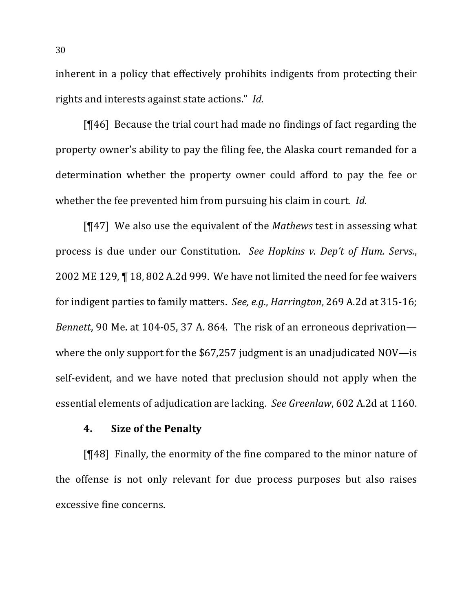inherent in a policy that effectively prohibits indigents from protecting their rights and interests against state actions." *Id.* 

[ $[$ 46] Because the trial court had made no findings of fact regarding the property owner's ability to pay the filing fee, the Alaska court remanded for a determination whether the property owner could afford to pay the fee or whether the fee prevented him from pursuing his claim in court. *Id.* 

[¶47] We also use the equivalent of the *Mathews* test in assessing what process is due under our Constitution. *See Hopkins v. Dep't of Hum. Servs.*, 2002 ME 129,  $\P$  18, 802 A.2d 999. We have not limited the need for fee waivers for indigent parties to family matters. *See, e.g., Harrington*, 269 A.2d at 315-16; *Bennett*, 90 Me. at 104-05, 37 A. 864. The risk of an erroneous deprivation where the only support for the  $$67,257$  judgment is an unadjudicated NOV—is self-evident, and we have noted that preclusion should not apply when the essential elements of adjudication are lacking. See Greenlaw, 602 A.2d at 1160.

## **4.** Size of the Penalty

 $[$ [48] Finally, the enormity of the fine compared to the minor nature of the offense is not only relevant for due process purposes but also raises excessive fine concerns.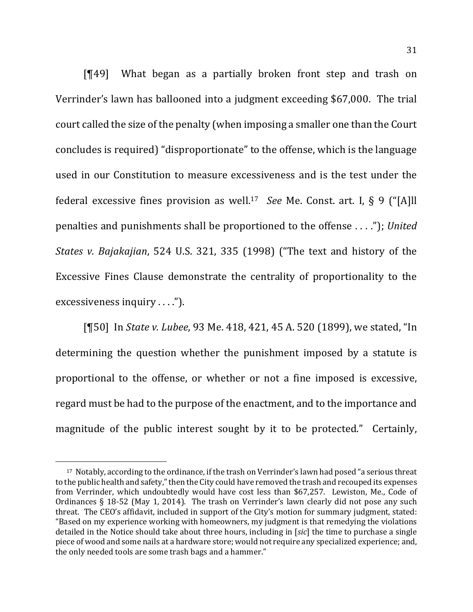$[$ [49] What began as a partially broken front step and trash on Verrinder's lawn has ballooned into a judgment exceeding \$67,000. The trial court called the size of the penalty (when imposing a smaller one than the Court concludes is required) "disproportionate" to the offense, which is the language used in our Constitution to measure excessiveness and is the test under the federal excessive fines provision as well.<sup>17</sup> *See* Me. Const. art. I, § 9 ("[A]ll penalties and punishments shall be proportioned to the offense . . . ."); *United States v. Bajakajian,* 524 U.S. 321, 335 (1998) ("The text and history of the Excessive Fines Clause demonstrate the centrality of proportionality to the excessiveness inquiry  $\dots$ .").

[¶50] In *State v. Lubee*, 93 Me. 418, 421, 45 A. 520 (1899), we stated, "In determining the question whether the punishment imposed by a statute is proportional to the offense, or whether or not a fine imposed is excessive, regard must be had to the purpose of the enactment, and to the importance and magnitude of the public interest sought by it to be protected." Certainly,

<sup>&</sup>lt;sup>17</sup> Notably, according to the ordinance, if the trash on Verrinder's lawn had posed "a serious threat to the public health and safety," then the City could have removed the trash and recouped its expenses from Verrinder, which undoubtedly would have cost less than \$67,257. Lewiston, Me., Code of Ordinances § 18-52 (May 1, 2014). The trash on Verrinder's lawn clearly did not pose any such threat. The CEO's affidavit, included in support of the City's motion for summary judgment, stated: "Based on my experience working with homeowners, my judgment is that remedying the violations detailed in the Notice should take about three hours, including in [sic] the time to purchase a single piece of wood and some nails at a hardware store; would not require any specialized experience; and, the only needed tools are some trash bags and a hammer."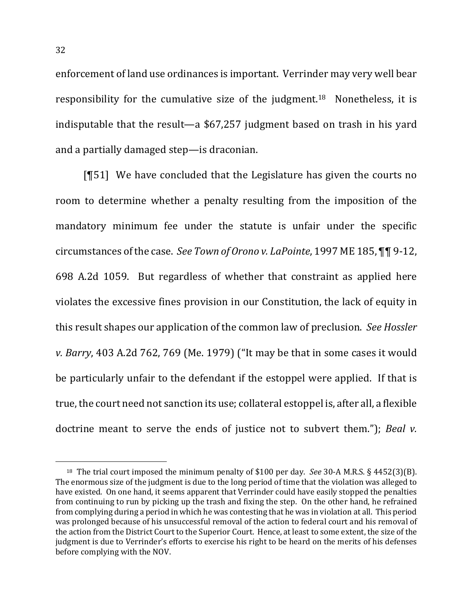enforcement of land use ordinances is important. Verrinder may very well bear responsibility for the cumulative size of the judgment.<sup>18</sup> Nonetheless, it is indisputable that the result-a \$67,257 judgment based on trash in his yard and a partially damaged step—is draconian.

 $[951]$  We have concluded that the Legislature has given the courts no room to determine whether a penalty resulting from the imposition of the mandatory minimum fee under the statute is unfair under the specific circumstances of the case. See Town of Orono v. LaPointe, 1997 ME 185, **¶¶** 9-12, 698 A.2d 1059. But regardless of whether that constraint as applied here violates the excessive fines provision in our Constitution, the lack of equity in this result shapes our application of the common law of preclusion. See *Hossler v. Barry*, 403 A.2d 762, 769 (Me. 1979) ("It may be that in some cases it would be particularly unfair to the defendant if the estoppel were applied. If that is true, the court need not sanction its use; collateral estoppel is, after all, a flexible doctrine meant to serve the ends of justice not to subvert them."); Beal *v*.

<sup>&</sup>lt;sup>18</sup> The trial court imposed the minimum penalty of \$100 per day. *See* 30-A M.R.S. § 4452(3)(B). The enormous size of the judgment is due to the long period of time that the violation was alleged to have existed. On one hand, it seems apparent that Verrinder could have easily stopped the penalties from continuing to run by picking up the trash and fixing the step. On the other hand, he refrained from complying during a period in which he was contesting that he was in violation at all. This period was prolonged because of his unsuccessful removal of the action to federal court and his removal of the action from the District Court to the Superior Court. Hence, at least to some extent, the size of the judgment is due to Verrinder's efforts to exercise his right to be heard on the merits of his defenses before complying with the NOV.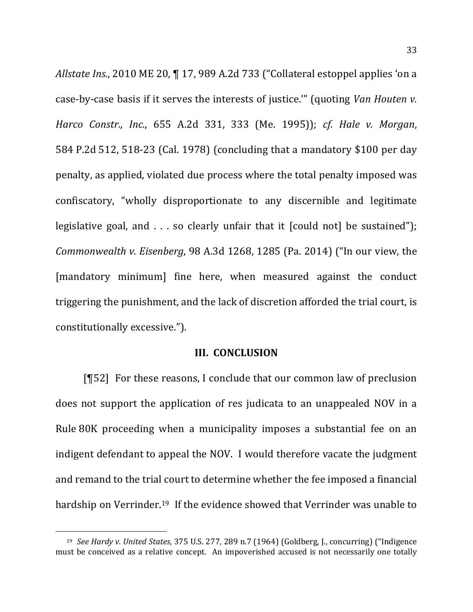*Allstate Ins.*, 2010 ME 20,  $\P$  17, 989 A.2d 733 ("Collateral estoppel applies 'on a case-by-case basis if it serves the interests of justice."" (quoting *Van Houten v. Harco Constr., Inc.*, 655 A.2d 331, 333 (Me. 1995)); *cf. Hale v. Morgan*, 584 P.2d 512, 518-23 (Cal. 1978) (concluding that a mandatory  $$100$  per day penalty, as applied, violated due process where the total penalty imposed was confiscatory, "wholly disproportionate to any discernible and legitimate legislative goal, and  $\ldots$  so clearly unfair that it [could not] be sustained"); *Commonwealth v. Eisenberg*, 98 A.3d 1268, 1285 (Pa. 2014) ("In our view, the [mandatory minimum] fine here, when measured against the conduct triggering the punishment, and the lack of discretion afforded the trial court, is constitutionally excessive.").

#### **III. CONCLUSION**

 $[\![\![52]\!]$  For these reasons, I conclude that our common law of preclusion does not support the application of res judicata to an unappealed NOV in a Rule 80K proceeding when a municipality imposes a substantial fee on an indigent defendant to appeal the NOV. I would therefore vacate the judgment and remand to the trial court to determine whether the fee imposed a financial hardship on Verrinder.<sup>19</sup> If the evidence showed that Verrinder was unable to

<sup>&</sup>lt;sup>19</sup> See Hardy v. United States, 375 U.S. 277, 289 n.7 (1964) (Goldberg, J., concurring) ("Indigence must be conceived as a relative concept. An impoverished accused is not necessarily one totally